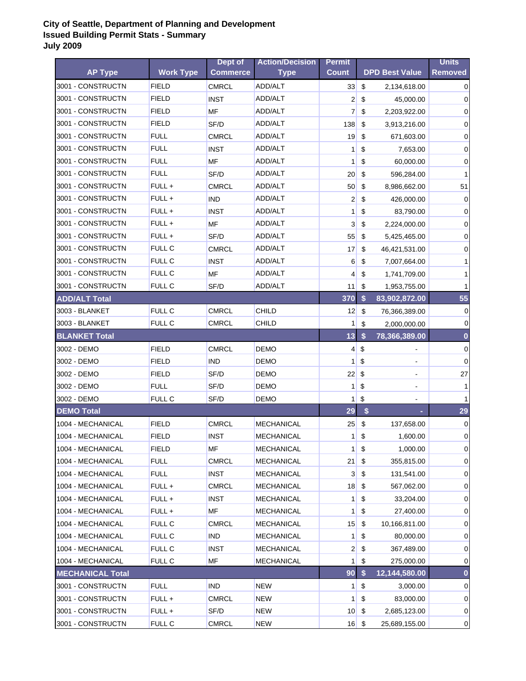|                         |                  | Dept of         | <b>Action/Decision</b> | <b>Permit</b>   |                           |                       | <b>Units</b>   |
|-------------------------|------------------|-----------------|------------------------|-----------------|---------------------------|-----------------------|----------------|
| <b>AP Type</b>          | <b>Work Type</b> | <b>Commerce</b> | <b>Type</b>            | <b>Count</b>    |                           | <b>DPD Best Value</b> | <b>Removed</b> |
| 3001 - CONSTRUCTN       | <b>FIELD</b>     | <b>CMRCL</b>    | ADD/ALT                | 33              | \$                        | 2,134,618.00          | 0              |
| 3001 - CONSTRUCTN       | <b>FIELD</b>     | <b>INST</b>     | ADD/ALT                | $\overline{2}$  | \$                        | 45,000.00             | 0              |
| 3001 - CONSTRUCTN       | <b>FIELD</b>     | MF              | ADD/ALT                | 7               | \$                        | 2,203,922.00          | 0              |
| 3001 - CONSTRUCTN       | <b>FIELD</b>     | SF/D            | ADD/ALT                | 138             | \$                        | 3,913,216.00          | 0              |
| 3001 - CONSTRUCTN       | <b>FULL</b>      | <b>CMRCL</b>    | ADD/ALT                | 19              | \$                        | 671,603.00            | 0              |
| 3001 - CONSTRUCTN       | <b>FULL</b>      | <b>INST</b>     | ADD/ALT                | 1               | \$                        | 7,653.00              | 0              |
| 3001 - CONSTRUCTN       | <b>FULL</b>      | <b>MF</b>       | ADD/ALT                | 1               | \$                        | 60,000.00             | 0              |
| 3001 - CONSTRUCTN       | <b>FULL</b>      | SF/D            | ADD/ALT                | 20 <sub>2</sub> | \$                        | 596,284.00            | 1              |
| 3001 - CONSTRUCTN       | FULL +           | <b>CMRCL</b>    | ADD/ALT                | 50              | \$                        | 8,986,662.00          | 51             |
| 3001 - CONSTRUCTN       | FULL +           | <b>IND</b>      | ADD/ALT                | 2               | \$                        | 426,000.00            | 0              |
| 3001 - CONSTRUCTN       | FULL +           | <b>INST</b>     | ADD/ALT                | 1               | \$                        | 83,790.00             | 0              |
| 3001 - CONSTRUCTN       | FULL +           | MF              | ADD/ALT                | 3               | \$                        | 2,224,000.00          | 0              |
| 3001 - CONSTRUCTN       | FULL +           | SF/D            | ADD/ALT                | 55              | \$                        | 5,425,465.00          | 0              |
| 3001 - CONSTRUCTN       | FULL C           | <b>CMRCL</b>    | ADD/ALT                | 17              | \$                        | 46,421,531.00         | 0              |
| 3001 - CONSTRUCTN       | FULL C           | <b>INST</b>     | ADD/ALT                | 6               | \$                        | 7,007,664.00          | 1              |
| 3001 - CONSTRUCTN       | <b>FULL C</b>    | <b>MF</b>       | ADD/ALT                | 4               | $\boldsymbol{\mathsf{S}}$ | 1,741,709.00          | 1              |
| 3001 - CONSTRUCTN       | FULL C           | SF/D            | ADD/ALT                | 11              | \$                        | 1,953,755.00          | 1              |
| <b>ADD/ALT Total</b>    |                  |                 |                        | 370             | \$                        | 83,902,872.00         | 55             |
| 3003 - BLANKET          | FULL C           | <b>CMRCL</b>    | <b>CHILD</b>           | 12              | \$                        | 76,366,389.00         | $\mathbf 0$    |
| 3003 - BLANKET          | FULL C           | <b>CMRCL</b>    | CHILD                  | 1               | \$                        | 2,000,000.00          | 0              |
| <b>BLANKET Total</b>    |                  |                 |                        | 13              | \$                        | 78,366,389.00         | $\bf{0}$       |
| 3002 - DEMO             | <b>FIELD</b>     | <b>CMRCL</b>    | DEMO                   | $\vert 4 \vert$ | \$                        | $\blacksquare$        | $\mathbf 0$    |
| 3002 - DEMO             | <b>FIELD</b>     | <b>IND</b>      | DEMO                   | 1               | \$                        | $\blacksquare$        | $\mathbf 0$    |
| 3002 - DEMO             | <b>FIELD</b>     | SF/D            | DEMO                   | 22              | \$                        | ۰                     | 27             |
| 3002 - DEMO             | <b>FULL</b>      | SF/D            | <b>DEMO</b>            | 1               | \$                        | $\blacksquare$        | 1              |
| 3002 - DEMO             | <b>FULL C</b>    | SF/D            | DEMO                   | 1               | \$                        |                       |                |
| <b>DEMO Total</b>       |                  |                 |                        | 29              | \$                        |                       | 29             |
| 1004 - MECHANICAL       | <b>FIELD</b>     | <b>CMRCL</b>    | <b>MECHANICAL</b>      | 25              | \$                        | 137,658.00            | 0              |
| 1004 - MECHANICAL       | <b>FIELD</b>     | <b>INST</b>     | <b>MECHANICAL</b>      | 1               | \$                        | 1,600.00              | 0              |
| 1004 - MECHANICAL       | <b>FIELD</b>     | ΜF              | <b>MECHANICAL</b>      | $\mathbf{1}$    | \$                        | 1,000.00              | $\overline{0}$ |
| 1004 - MECHANICAL       | <b>FULL</b>      | <b>CMRCL</b>    | MECHANICAL             | 21              | \$                        | 355,815.00            | 0              |
| 1004 - MECHANICAL       | <b>FULL</b>      | <b>INST</b>     | MECHANICAL             | 3               | \$                        | 131,541.00            | 0              |
| 1004 - MECHANICAL       | FULL +           | <b>CMRCL</b>    | <b>MECHANICAL</b>      | 18              | \$                        | 567,062.00            | 0              |
| 1004 - MECHANICAL       | FULL +           | <b>INST</b>     | <b>MECHANICAL</b>      | 1               | \$                        | 33,204.00             | 0              |
| 1004 - MECHANICAL       | FULL +           | <b>MF</b>       | <b>MECHANICAL</b>      | 1               | \$                        | 27,400.00             | 0              |
| 1004 - MECHANICAL       | FULL C           | <b>CMRCL</b>    | <b>MECHANICAL</b>      | 15              | \$                        | 10,166,811.00         | 0              |
| 1004 - MECHANICAL       | FULL C           | <b>IND</b>      | <b>MECHANICAL</b>      | 1               | \$                        | 80,000.00             | 0              |
| 1004 - MECHANICAL       | FULL C           | <b>INST</b>     | MECHANICAL             | $\overline{2}$  | \$                        | 367,489.00            | 0              |
| 1004 - MECHANICAL       | FULL C           | ΜF              | <b>MECHANICAL</b>      | 1               | \$                        | 275,000.00            | 0              |
| <b>MECHANICAL Total</b> |                  |                 |                        | 90              | \$                        | 12,144,580.00         | 0              |
| 3001 - CONSTRUCTN       | <b>FULL</b>      | <b>IND</b>      | <b>NEW</b>             | 1               | \$                        | 3,000.00              | 0              |
| 3001 - CONSTRUCTN       | FULL +           | <b>CMRCL</b>    | <b>NEW</b>             | 1               | \$                        | 83,000.00             | 0              |
| 3001 - CONSTRUCTN       | FULL +           | SF/D            | <b>NEW</b>             | 10 <sup>°</sup> | \$                        | 2,685,123.00          | $\mathbf 0$    |
| 3001 - CONSTRUCTN       | FULL C           | <b>CMRCL</b>    | <b>NEW</b>             | 16              | \$                        | 25,689,155.00         | $\overline{0}$ |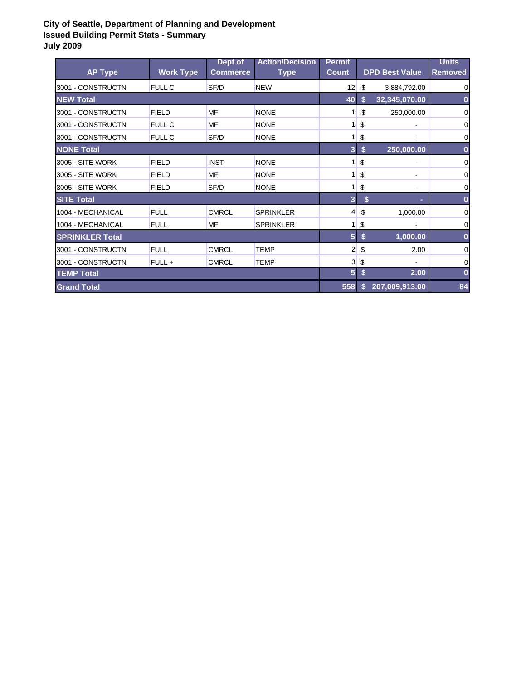| <b>AP Type</b>         | <b>Work Type</b> | Dept of<br><b>Commerce</b> | <b>Action/Decision</b><br><b>Type</b> | <b>Permit</b><br><b>Count</b> |    | <b>DPD Best Value</b> | <b>Units</b><br><b>Removed</b> |
|------------------------|------------------|----------------------------|---------------------------------------|-------------------------------|----|-----------------------|--------------------------------|
| 3001 - CONSTRUCTN      | <b>FULL C</b>    | SF/D                       | <b>NEW</b>                            | 12                            | \$ | 3,884,792.00          | 0                              |
| <b>NEW Total</b>       |                  |                            |                                       | 40                            | S  | 32,345,070.00         | 0                              |
| 3001 - CONSTRUCTN      | <b>FIELD</b>     | MF                         | <b>NONE</b>                           | 1                             | \$ | 250,000.00            | 0                              |
| 3001 - CONSTRUCTN      | <b>FULL C</b>    | MF                         | <b>NONE</b>                           |                               | \$ |                       | 0                              |
| 3001 - CONSTRUCTN      | <b>FULL C</b>    | SF/D                       | <b>NONE</b>                           | 1                             | \$ |                       | 0                              |
| <b>NONE Total</b>      |                  |                            |                                       | 3                             | \$ | 250,000.00            | 0                              |
| 3005 - SITE WORK       | <b>FIELD</b>     | <b>INST</b>                | <b>NONE</b>                           |                               | \$ |                       | 0                              |
| 3005 - SITE WORK       | <b>FIELD</b>     | MF                         | <b>NONE</b>                           |                               | \$ | $\blacksquare$        | 0                              |
| 3005 - SITE WORK       | <b>FIELD</b>     | SF/D                       | <b>NONE</b>                           | 1                             | \$ | $\blacksquare$        | 0                              |
| <b>SITE Total</b>      |                  |                            |                                       | 3 <sup>1</sup>                | \$ |                       | $\bf{0}$                       |
| 1004 - MECHANICAL      | <b>FULL</b>      | <b>CMRCL</b>               | <b>SPRINKLER</b>                      | 4                             | \$ | 1,000.00              | 0                              |
| 1004 - MECHANICAL      | <b>FULL</b>      | MF                         | <b>SPRINKLER</b>                      | 1 <sup>1</sup>                | \$ |                       | 0                              |
| <b>SPRINKLER Total</b> |                  |                            |                                       | 5 <sup>1</sup>                | S  | 1,000.00              | $\bf{0}$                       |
| 3001 - CONSTRUCTN      | <b>FULL</b>      | <b>CMRCL</b>               | <b>TEMP</b>                           | $\mathbf{2}$                  | \$ | 2.00                  | 0                              |
| 3001 - CONSTRUCTN      | FULL +           | <b>CMRCL</b>               | TEMP                                  | 3                             | \$ |                       | 0                              |
| <b>TEMP Total</b>      |                  |                            |                                       | 5 <sup>1</sup>                | S  | 2.00                  | $\bf{0}$                       |
| <b>Grand Total</b>     |                  |                            |                                       | 558                           | S  | 207,009,913.00        | 84                             |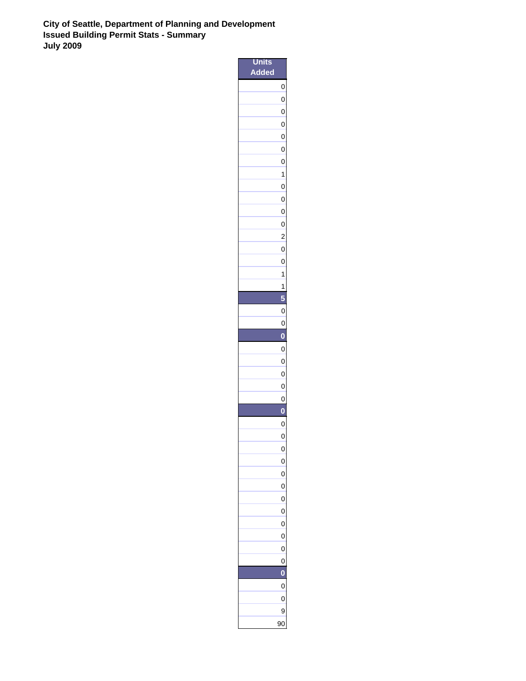| nits                                |                         |
|-------------------------------------|-------------------------|
| $\overline{\mathsf{ded}}$<br>À<br>n |                         |
|                                     | $\mathbf{0}$            |
|                                     | 0                       |
|                                     | $\mathbf{0}$            |
|                                     | $\overline{0}$          |
|                                     | $\mathbf{0}$            |
|                                     | $\mathbf{0}$            |
|                                     | $\overline{0}$          |
|                                     | 1                       |
|                                     | $\mathbf{0}$            |
|                                     | $\overline{0}$          |
|                                     | $\mathbf{0}$            |
|                                     | $\mathbf{0}$            |
|                                     | $\overline{\mathbf{c}}$ |
|                                     | $\mathbf{0}$            |
|                                     | $\mathbf{0}$            |
|                                     | 1                       |
|                                     | 1<br>5                  |
|                                     | $\mathbf{0}$            |
|                                     | $\mathbf{0}$            |
|                                     | $\bf{0}$                |
|                                     | $\mathbf{0}$            |
|                                     | $\overline{0}$          |
|                                     | $\mathbf{0}$            |
|                                     | 0                       |
|                                     | 0                       |
|                                     | 0                       |
|                                     | 0                       |
|                                     | 0                       |
|                                     | $\mathbf{0}$            |
|                                     | 0                       |
|                                     | 0                       |
|                                     | 0                       |
|                                     | $\mathbf{0}$            |
|                                     | 0                       |
|                                     | 0                       |
|                                     | 0                       |
|                                     | $\mathbf{0}$            |
|                                     | 0                       |
|                                     | 0                       |
|                                     | 0                       |
|                                     | 0                       |
|                                     | 9                       |
|                                     | 90                      |